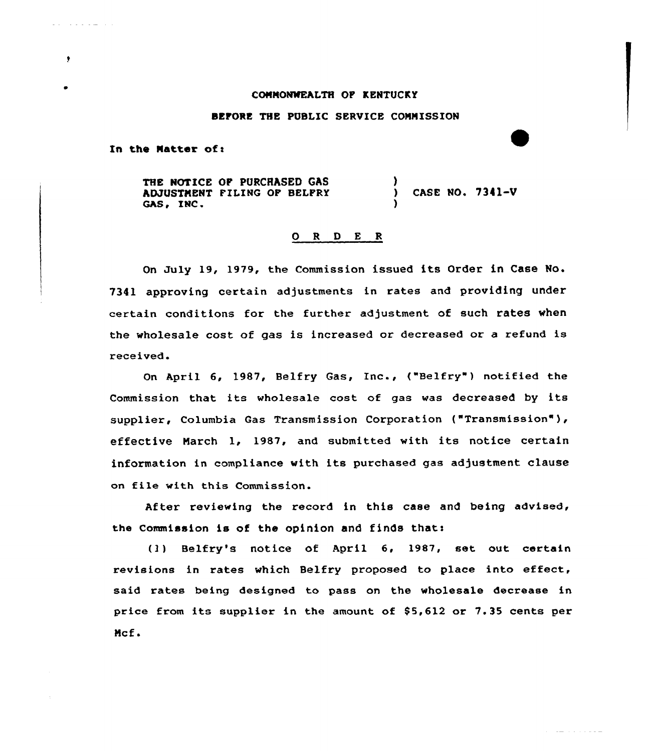### CONNONNEALTH OF KENTUCKY

## BEFORE THE PUBLIC SERVICE COMMISSION

In the Matter of:

والمستحدث والمناوب

 $\bullet$ 

THE NOTICE OF PURCHASED GAS ADJUSTMENT FILING OF BELFRY GAS, INC. ) ) CASE NO. 7341-V )

# 0 <sup>R</sup> <sup>D</sup> E <sup>R</sup>

On July 19, 1979, the Commission issued its Order in Case No. 7341 approving certain adjustments in rates and providing under certain conditions for the further adjustment of such rates when the wholesale cost of gas is increased or decreased or a refund is received.

On April 6, 1987, Belfry Gas, Inc., ("Belfry") notified the Commission that its wholesale cost of gas was decreased by its supplier, Columbia Gas Transmission Corporation ("Transmission" ), effective March 1, 1987, and submitted with its notice certain information in compliance with its purchased gas adjustment clause on file with this Commission.

After reviewing the record in this case and being advised, the Commission is of the opinion and finds thats

(l) Belfry's notice of April 6, 1987, set. out certain revisions in rates which Belfry proposed to place into effect, said rates being designed to pass on the wholesale decrease in price from its supplier in the amount of \$5,612 or 7.35 cents per Mcf.

 $\label{eq:reduced} \begin{split} \mathcal{L}(\mathcal{L}) = \mathcal{L}(\mathcal{L}) = \mathcal{L}(\mathcal{L}) = \mathcal{L}(\mathcal{L}) = \mathcal{L}(\mathcal{L}) = \mathcal{L}(\mathcal{L}) = \mathcal{L}(\mathcal{L}) = \mathcal{L}(\mathcal{L}) = \mathcal{L}(\mathcal{L}) = \mathcal{L}(\mathcal{L}) = \mathcal{L}(\mathcal{L}) = \mathcal{L}(\mathcal{L}) = \mathcal{L}(\mathcal{L}) = \mathcal{L}(\mathcal{L}) = \mathcal{L}(\mathcal{L}) = \mathcal{L}(\mathcal{L})$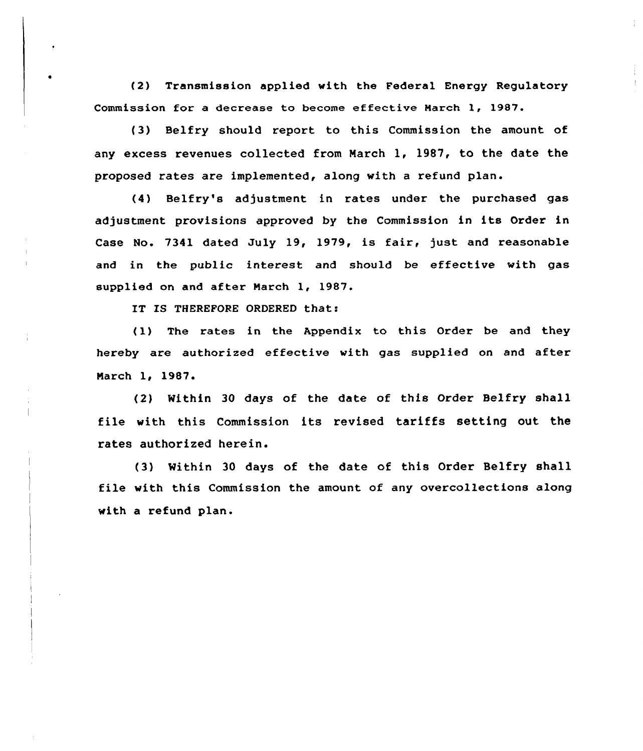{2) Transmission applied with the Federal Energy Regulatory Commission for a decrease to become effective March 1, 1987.

(3) Belfry should report to this Commission the amount of any excess revenues collected from March 1, 1987, to the date the proposed rates are implemented, along with a refund plan.

(4) Belfry's adjustment in rates under the purchased gas adjustment provisions approved by the Commission in its Order in Case No. 7341 dated July 19, 1979, is fair, just and reasonable and in the public interest and should be effective with gas supplied on and after March 1, 1987.

IT IS THEREFORE ORDERED that:

(1) The rates in the Appendix to this Order be and they hereby are authorized effective with gas supplied on and after March 1, 1987.

(2) Nithin 30 days of the date of this Order Belfry shall file with this Commission its revised tariffs setting out the rates authorized herein.

(3) Mithin 30 days of the date of this Order Belfry shall file with this Commission the amount of any overcollections along with a refund plan.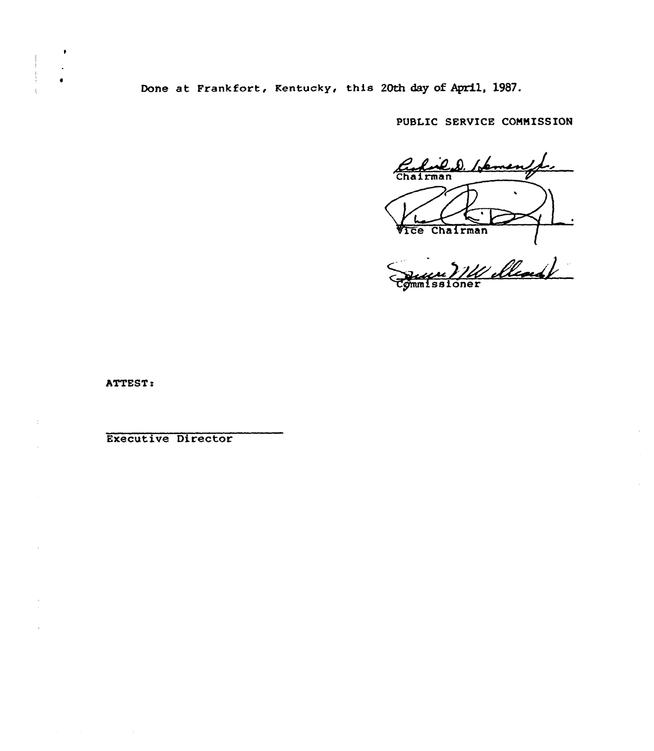Done at Frankfort, Kentucky, this 20th day of April, 1987.

PUBLIC SERVICE CONNISSION

Rufald D. Heman VICe Chairma

Commissione

 $\bar{z}$ 

ATTEST

 $\bullet$ 

 $\bar{z}$ 

Executive Director